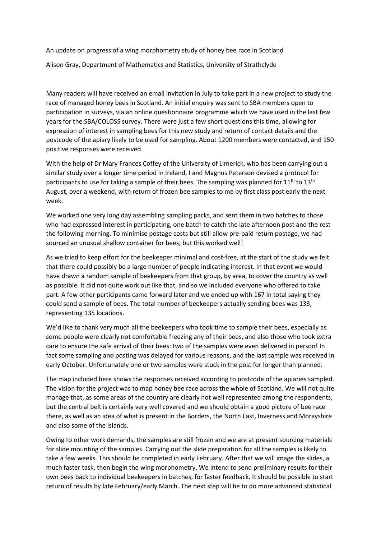An update on progress of a wing morphometry study of honey bee race in Scotland Alison Gray, Department of Mathematics and Statistics, University of Strathclyde

Many readers will have received an email invitation in July to take part in a new project to study the race of managed honey bees in Scotland. An initial enquiry was sent to SBA members open to participation in surveys, via an online questionnaire programme which we have used in the last few years for the SBA/COLOSS survey. There were just a few short questions this time, allowing for expression of interest in sampling bees for this new study and return of contact details and the postcode of the apiary likely to be used for sampling. About 1200 members were contacted, and 150 positive responses were received.

With the help of Dr Mary Frances Coffey of the University of Limerick, who has been carrying out a similar study over a longer time period in Ireland, I and Magnus Peterson devised a protocol for participants to use for taking a sample of their bees. The sampling was planned for  $11<sup>th</sup>$  to  $13<sup>th</sup>$ August, over a weekend, with return of frozen bee samples to me by first class post early the next week.

We worked one very long day assembling sampling packs, and sent them in two batches to those who had expressed interest in participating, one batch to catch the late afternoon post and the rest the following morning. To minimise postage costs but still allow pre-paid return postage, we had sourced an unusual shallow container for bees, but this worked well!

As we tried to keep effort for the beekeeper minimal and cost-free, at the start of the study we felt that there could possibly be a large number of people indicating interest. In that event we would have drawn a random sample of beekeepers from that group, by area, to cover the country as well as possible. It did not quite work out like that, and so we included everyone who offered to take part. A few other participants came forward later and we ended up with 167 in total saying they could send a sample of bees. The total number of beekeepers actually sending bees was 133, representing 135 locations.

We'd like to thank very much all the beekeepers who took time to sample their bees, especially as some people were clearly not comfortable freezing any of their bees, and also those who took extra care to ensure the safe arrival of their bees: two of the samples were even delivered in person! In fact some sampling and posting was delayed for various reasons, and the last sample was received in early October. Unfortunately one or two samples were stuck in the post for longer than planned.

The map included here shows the responses received according to postcode of the apiaries sampled. The vision for the project was to map honey bee race across the whole of Scotland. We will not quite manage that, as some areas of the country are clearly not well represented among the respondents, but the central belt is certainly very well covered and we should obtain a good picture of bee race there, as well as an idea of what is present in the Borders, the North East, Inverness and Morayshire and also some of the islands.

Owing to other work demands, the samples are still frozen and we are at present sourcing materials for slide mounting of the samples. Carrying out the slide preparation for all the samples is likely to take a few weeks. This should be completed in early February. After that we will image the slides, a much faster task, then begin the wing morphometry. We intend to send preliminary results for their own bees back to individual beekeepers in batches, for faster feedback. It should be possible to start return of results by late February/early March. The next step will be to do more advanced statistical